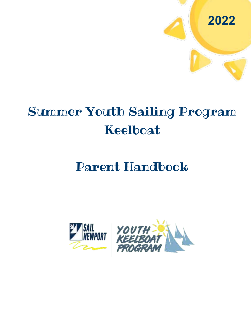

# Summer Youth Sailing Program Keelboat

## Parent Handbook

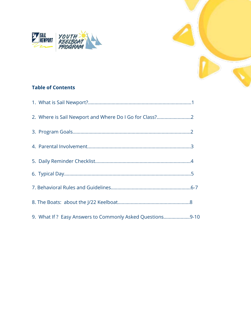



| 2. Where is Sail Newport and Where Do I Go for Class?    |  |
|----------------------------------------------------------|--|
|                                                          |  |
|                                                          |  |
|                                                          |  |
|                                                          |  |
|                                                          |  |
|                                                          |  |
| 9. What If? Easy Answers to Commonly Asked Questions9-10 |  |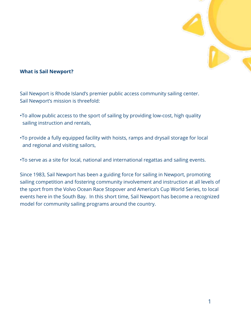

#### What is Sail Newport?

Sail Newport is Rhode Island's premier public access community sailing center. Sail Newport's mission is threefold:

- •To allow public access to the sport of sailing by providing low-cost, high quality sailing instruction and rentals,
- •To provide a fully equipped facility with hoists, ramps and drysail storage for local and regional and visiting sailors,
- •To serve as a site for local, national and international regattas and sailing events.

Since 1983, Sail Newport has been a guiding force for sailing in Newport, promoting sailing competition and fostering community involvement and instruction at all levels of the sport from the Volvo Ocean Race Stopover and America's Cup World Series, to local events here in the South Bay. In this short time, Sail Newport has become a recognized model for community sailing programs around the country.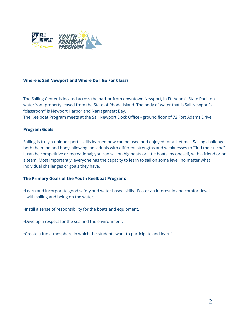

#### Where is Sail Newport and Where Do I Go For Class?

The Sailing Center is located across the harbor from downtown Newport, in Ft. Adam's State Park, on waterfront property leased from the State of Rhode Island. The body of water that is Sail Newport's "classroom" is Newport Harbor and Narragansett Bay.

The Keelboat Program meets at the Sail Newport Dock Office - ground floor of 72 Fort Adams Drive.

#### Program Goals

Sailing is truly a unique sport: skills learned now can be used and enjoyed for a lifetime. Sailing challenges both the mind and body, allowing individuals with different strengths and weaknesses to "find their niche". It can be competitive or recreational; you can sail on big boats or little boats, by oneself, with a friend or on a team. Most importantly, everyone has the capacity to learn to sail on some level, no matter what individual challenges or goals they have.

#### The Primary Goals of the Youth Keelboat Program:

- •Learn and incorporate good safety and water based skills. Foster an interest in and comfort level with sailing and being on the water.
- •Instill a sense of responsibility for the boats and equipment.
- •Develop a respect for the sea and the environment.
- •Create a fun atmosphere in which the students want to participate and learn!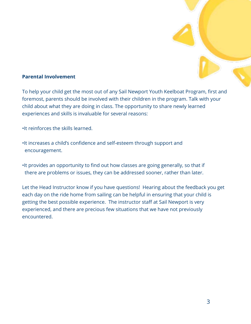#### Parental Involvement

To help your child get the most out of any Sail Newport Youth Keelboat Program, first and foremost, parents should be involved with their children in the program. Talk with your child about what they are doing in class. The opportunity to share newly learned experiences and skills is invaluable for several reasons:

•It reinforces the skills learned.

- •It increases a child's confidence and self-esteem through support and encouragement.
- •It provides an opportunity to find out how classes are going generally, so that if there are problems or issues, they can be addressed sooner, rather than later.

Let the Head Instructor know if you have questions! Hearing about the feedback you get each day on the ride home from sailing can be helpful in ensuring that your child is getting the best possible experience. The instructor staff at Sail Newport is very experienced, and there are precious few situations that we have not previously encountered.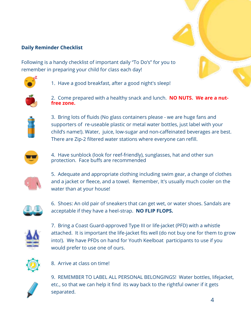#### Daily Reminder Checklist

Following is a handy checklist of important daily "To Do's" for you to remember in preparing your child for class each day!



1. Have a good breakfast, after a good night's sleep!



2. Come prepared with a healthy snack and lunch. **NO NUTS. We are a nutfree zone.**



3. Bring lots of fluids (No glass containers please - we are huge fans and supporters of re-useable plastic or metal water bottles, just label with your child's name!). Water, juice, low-sugar and non-caffeinated beverages are best. There are Zip-2 filtered water stations where everyone can refill.



4. Have sunblock (look for reef-friendly), sunglasses, hat and other sun protection. Face buffs are recommended



5. Adequate and appropriate clothing including swim gear, a change of clothes and a jacket or fleece, and a towel. Remember, It's usually much cooler on the water than at your house!



6. Shoes: An old pair of sneakers that can get wet, or water shoes. Sandals are acceptable if they have a heel-strap. NO FLIP FLOPS.



7. Bring a Coast Guard-approved Type III or life-jacket (PFD) with a whistle attached. It is important the life-jacket fits well (do not buy one for them to grow into!). We have PFDs on hand for Youth Keelboat participants to use if you would prefer to use one of ours.



8. Arrive at class on time!



9. REMEMBER TO LABEL ALL PERSONAL BELONGINGS! Water bottles, lifejacket, etc., so that we can help it find its way back to the rightful owner if it gets separated.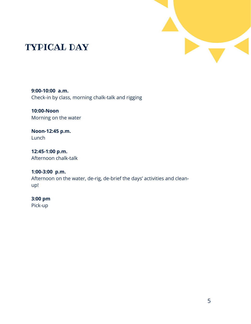

## TYPICAL DAY

**9:00-10:00 a.m.** Check-in by class, morning chalk-talk and rigging

**10:00-Noon**  Morning on the water

**Noon-12:45 p.m.** Lunch

**12:45-1:00 p.m.** Afternoon chalk-talk

**1:00-3:00 p.m.** Afternoon on the water, de-rig, de-brief the days' activities and cleanup!

### **3:00 pm**

Pick-up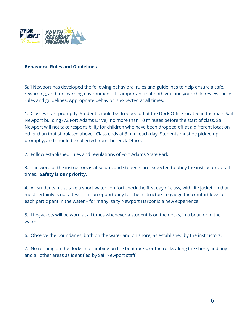

#### Behavioral Rules and Guidelines

Sail Newport has developed the following behavioral rules and guidelines to help ensure a safe, rewarding, and fun learning environment. It is important that both you and your child review these rules and guidelines. Appropriate behavior is expected at all times.

1. Classes start promptly. Student should be dropped off at the Dock Office located in the main Sail Newport building (72 Fort Adams Drive) no more than 10 minutes before the start of class. Sail Newport will not take responsibility for children who have been dropped off at a different location other than that stipulated above. Class ends at 3 p.m. each day. Students must be picked up promptly, and should be collected from the Dock Office.

2. Follow established rules and regulations of Fort Adams State Park.

3. The word of the instructors is absolute, and students are expected to obey the instructors at all times. Safety is our priority.

4. All students must take a short water comfort check the first day of class, with life jacket on that most certainly is not a test – it is an opportunity for the instructors to gauge the comfort level of each participant in the water – for many, salty Newport Harbor is a new experience!

5. Life-jackets will be worn at all times whenever a student is on the docks, in a boat, or in the water.

6. Observe the boundaries, both on the water and on shore, as established by the instructors.

7. No running on the docks, no climbing on the boat racks, or the rocks along the shore, and any and all other areas as identified by Sail Newport staff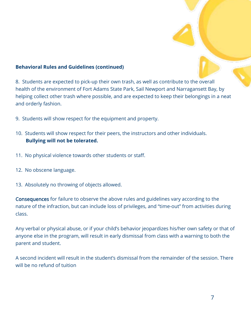#### Behavioral Rules and Guidelines (continued)

8. Students are expected to pick-up their own trash, as well as contribute to the overall health of the environment of Fort Adams State Park, Sail Newport and Narragansett Bay, by helping collect other trash where possible, and are expected to keep their belongings in a neat and orderly fashion.

- 9. Students will show respect for the equipment and property.
- 10. Students will show respect for their peers, the instructors and other individuals. Bullying will not be tolerated.
- 11. No physical violence towards other students or staff.
- 12. No obscene language.
- 13. Absolutely no throwing of objects allowed.

Consequences for failure to observe the above rules and guidelines vary according to the nature of the infraction, but can include loss of privileges, and "time-out" from activities during class.

Any verbal or physical abuse, or if your child's behavior jeopardizes his/her own safety or that of anyone else in the program, will result in early dismissal from class with a warning to both the parent and student.

A second incident will result in the student's dismissal from the remainder of the session. There will be no refund of tuition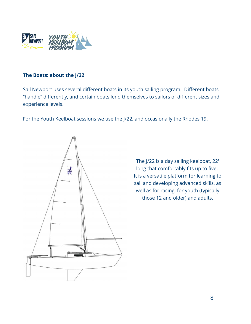

#### The Boats: about the J/22

Sail Newport uses several different boats in its youth sailing program. Different boats "handle" differently, and certain boats lend themselves to sailors of different sizes and experience levels.

For the Youth Keelboat sessions we use the J/22, and occasionally the Rhodes 19.



The J/22 is a day sailing keelboat, 22' long that comfortably fits up to five. It is a versatile platform for learning to sail and developing advanced skills, as well as for racing, for youth (typically those 12 and older) and adults.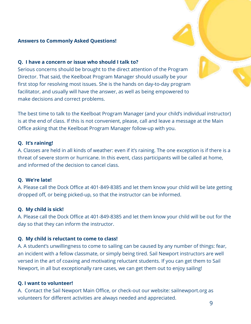#### Answers to Commonly Asked Questions!

#### Q. I have a concern or issue who should I talk to?

Serious concerns should be brought to the direct attention of the Program Director. That said, the Keelboat Program Manager should usually be your first stop for resolving most issues. She is the hands on day-to-day program facilitator, and usually will have the answer, as well as being empowered to make decisions and correct problems.

The best time to talk to the Keelboat Program Manager (and your child's individual instructor) is at the end of class. If this is not convenient, please, call and leave a message at the Main Office asking that the Keelboat Program Manager follow-up with you.

#### Q. It's raining!

A. Classes are held in all kinds of weather: even if it's raining. The one exception is if there is a threat of severe storm or hurricane. In this event, class participants will be called at home, and informed of the decision to cancel class.

#### Q. We're late!

A. Please call the Dock Office at 401-849-8385 and let them know your child will be late getting dropped off, or being picked-up, so that the instructor can be informed.

#### Q. My child is sick!

A. Please call the Dock Office at 401-849-8385 and let them know your child will be out for the day so that they can inform the instructor.

#### Q. My child is reluctant to come to class!

A. A student's unwillingness to come to sailing can be caused by any number of things: fear, an incident with a fellow classmate, or simply being tired. Sail Newport instructors are well versed in the art of coaxing and motivating reluctant students. If you can get them to Sail Newport, in all but exceptionally rare cases, we can get them out to enjoy sailing!

#### **Q. I want to volunteer!**

A. Contact the Sail Newport Main Office, or check-out our website: sailnewport.org as volunteers for different activities are always needed and appreciated.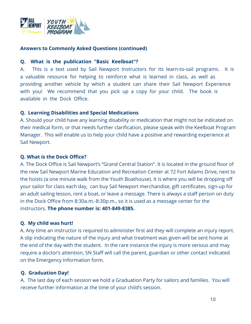

#### Answers to Commonly Asked Questions (continued)

#### Q. **What is the publication "Basic Keelboat"?**

A. This is a text used by Sail Newport Instructors for its learn-to-sail programs. It is a valuable resource for helping to reinforce what is learned in class, as well as providing another vehicle by which a student can share their Sail Newport Experience with you! We recommend that you pick up a copy for your child. The book is available in the Dock Office.

#### **Q.** Learning Disabilities and Special Medications

A. Should your child have any learning disability or medication that might not be indicated on their medical form, or that needs further clarification, please speak with the Keelboat Program Manager. This will enable us to help your child have a positive and rewarding experience at Sail Newport.

#### Q. What is the Dock Office?

A. The Dock Office is Sail Newport's "Grand Central Station". It is located in the ground floor of the new Sail Newport Marine Education and Recreation Center at 72 Fort Adams Drive, next to the hoists (a one minute walk from the Youth Boathouse). It is where you will be dropping off your sailor for class each day, can buy Sail Newport merchandise, gift certificates, sign-up for an adult sailing lesson, rent a boat, or leave a message. There is always a staff person on duty in the Dock Office from 8:30a.m.-8:30p.m., so it is used as a message center for the instructors. The phone number is: 401-849-8385.

#### Q. My child was hurt!

A. Any time an instructor is required to administer first aid they will complete an injury report. A slip indicating the nature of the injury and what treatment was given will be sent home at the end of the day with the student. In the rare instance the injury is more serious and may require a doctor's attention, SN Staff will call the parent, guardian or other contact indicated on the Emergency Information form.

#### Q. Graduation Day!

A. The last day of each session we hold a Graduation Party for sailors and families. You will receive further information at the time of your child's session.